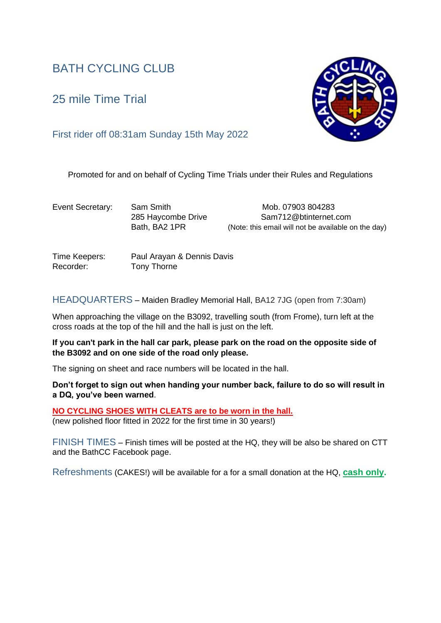# BATH CYCLING CLUB

25 mile Time Trial



## First rider off 08:31am Sunday 15th May 2022

Promoted for and on behalf of Cycling Time Trials under their Rules and Regulations

Event Secretary: Sam Smith Mob. 07903 804283 285 Haycombe Drive Sam712@btinternet.com Bath, BA2 1PR (Note: this email will not be available on the day)

Time Keepers: Paul Arayan & Dennis Davis Recorder: Tony Thorne

HEADQUARTERS – Maiden Bradley Memorial Hall, BA12 7JG (open from 7:30am)

When approaching the village on the B3092, travelling south (from Frome), turn left at the cross roads at the top of the hill and the hall is just on the left.

**If you can't park in the hall car park, please park on the road on the opposite side of the B3092 and on one side of the road only please.**

The signing on sheet and race numbers will be located in the hall.

**Don't forget to sign out when handing your number back, failure to do so will result in a DQ, you've been warned**.

**NO CYCLING SHOES WITH CLEATS are to be worn in the hall.**

(new polished floor fitted in 2022 for the first time in 30 years!)

FINISH TIMES – Finish times will be posted at the HQ, they will be also be shared on CTT and the BathCC Facebook page.

Refreshments (CAKES!) will be available for a for a small donation at the HQ, **cash only.**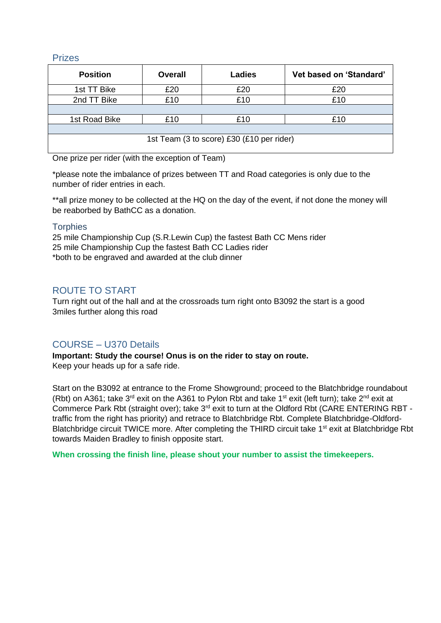### Prizes

| <b>Position</b>                           | <b>Overall</b> | <b>Ladies</b> | Vet based on 'Standard' |  |  |  |  |
|-------------------------------------------|----------------|---------------|-------------------------|--|--|--|--|
| 1st TT Bike                               | £20            | £20           | £20                     |  |  |  |  |
| 2nd TT Bike                               | £10            | £10           | £10                     |  |  |  |  |
|                                           |                |               |                         |  |  |  |  |
| 1st Road Bike                             | £10            | £10           | £10                     |  |  |  |  |
|                                           |                |               |                         |  |  |  |  |
| 1st Team (3 to score) £30 (£10 per rider) |                |               |                         |  |  |  |  |

One prize per rider (with the exception of Team)

\*please note the imbalance of prizes between TT and Road categories is only due to the number of rider entries in each.

\*\*all prize money to be collected at the HQ on the day of the event, if not done the money will be reaborbed by BathCC as a donation.

### **Torphies**

25 mile Championship Cup (S.R.Lewin Cup) the fastest Bath CC Mens rider 25 mile Championship Cup the fastest Bath CC Ladies rider \*both to be engraved and awarded at the club dinner

### ROUTE TO START

Turn right out of the hall and at the crossroads turn right onto B3092 the start is a good 3miles further along this road

### COURSE – U370 Details

**Important: Study the course! Onus is on the rider to stay on route.** Keep your heads up for a safe ride.

Start on the B3092 at entrance to the Frome Showground; proceed to the Blatchbridge roundabout (Rbt) on A361; take  $3^{rd}$  exit on the A361 to Pylon Rbt and take 1<sup>st</sup> exit (left turn); take  $2^{nd}$  exit at Commerce Park Rbt (straight over); take 3<sup>rd</sup> exit to turn at the Oldford Rbt (CARE ENTERING RBT traffic from the right has priority) and retrace to Blatchbridge Rbt. Complete Blatchbridge-Oldford-Blatchbridge circuit TWICE more. After completing the THIRD circuit take 1<sup>st</sup> exit at Blatchbridge Rbt towards Maiden Bradley to finish opposite start.

**When crossing the finish line, please shout your number to assist the timekeepers.**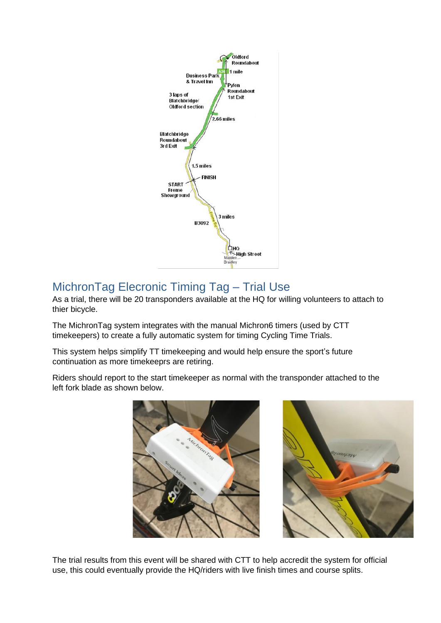

# MichronTag Elecronic Timing Tag – Trial Use

As a trial, there will be 20 transponders available at the HQ for willing volunteers to attach to thier bicycle.

The MichronTag system integrates with the manual Michron6 timers (used by CTT timekeepers) to create a fully automatic system for timing Cycling Time Trials.

This system helps simplify TT timekeeping and would help ensure the sport's future continuation as more timekeeprs are retiring.

Riders should report to the start timekeeper as normal with the transponder attached to the left fork blade as shown below.





The trial results from this event will be shared with CTT to help accredit the system for official use, this could eventually provide the HQ/riders with live finish times and course splits.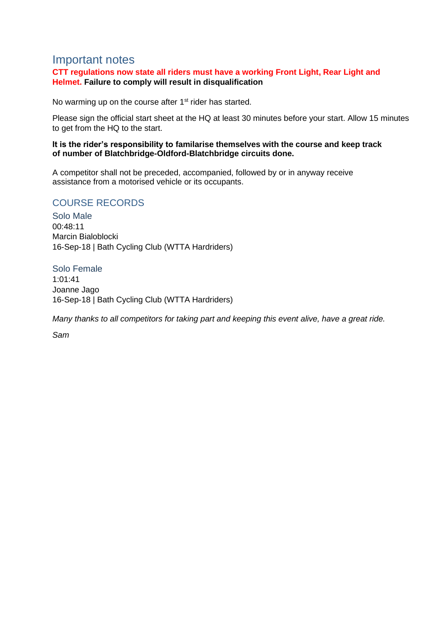## Important notes

### **CTT regulations now state all riders must have a working Front Light, Rear Light and Helmet. Failure to comply will result in disqualification**

No warming up on the course after  $1<sup>st</sup>$  rider has started.

Please sign the official start sheet at the HQ at least 30 minutes before your start. Allow 15 minutes to get from the HQ to the start.

#### **It is the rider's responsibility to familarise themselves with the course and keep track of number of Blatchbridge-Oldford-Blatchbridge circuits done.**

A competitor shall not be preceded, accompanied, followed by or in anyway receive assistance from a motorised vehicle or its occupants.

## COURSE RECORDS

Solo Male 00:48:11 Marcin Bialoblocki 16-Sep-18 | Bath Cycling Club (WTTA Hardriders)

### Solo Female

1:01:41 Joanne Jago 16-Sep-18 | Bath Cycling Club (WTTA Hardriders)

*Many thanks to all competitors for taking part and keeping this event alive, have a great ride.*

*Sam*